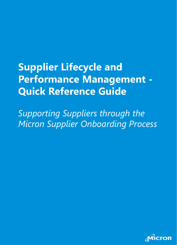# **Supplier Lifecycle and Performance Management - Quick Reference Guide**

*Supporting Suppliers through the Micron Supplier Onboarding Process*

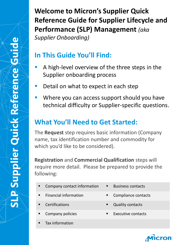**Welcome to Micron's Supplier Quick Reference Guide for Supplier Lifecycle and Performance (SLP) Management** *(aka Supplier Onboarding)*

### **In This Guide You'll Find:**

- A high-level overview of the three steps in the Supplier onboarding process
- Detail on what to expect in each step
- Where you can access support should you have technical difficulty or Supplier-specific questions.

#### **What You'll Need to Get Started:**

The **Request** step requires basic information (Company name, tax identification number and commodity for which you'd like to be considered).

**Registration** and **Commercial Qualification** steps will require more detail. Please be prepared to provide the following:

- Company contact information Business contacts
- Financial information Compliance contacts
- 
- Company policies Executive contacts
- Tax information
- 
- 
- Certifications Quality contacts
	-

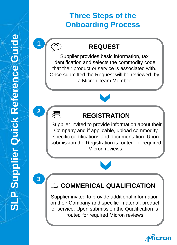## **Three Steps of the Onboarding Process**

#### **REQUEST**

Supplier provides basic information, tax identification and selects the commodity code that their product or service is associated with. Once submitted the Request will be reviewed by a Micron Team Member

## **2**

∛≣

**1**

<u> ೧</u>

### **REGISTRATION**

Supplier invited to provide information about their Company and if applicable, upload commodity specific certifications and documentation. Upon submission the Registration is routed for required Micron reviews.

**3**

## **COMMERICAL QUALIFICATION**

Supplier invited to provide additional information on their Company and specific material, product or service. Upon submission the Qualification is routed for required Micron reviews

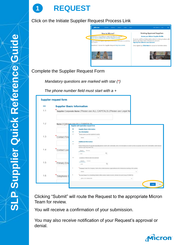

Click on the Initiate Supplier Request Process Link



#### Complete the Supplier Request Form

*Mandatory questions are marked with star (\*)*

*The phone number field must start with a +*

|     | <b>Supplier request form</b>                                                                                                                                                                                                                 |  |
|-----|----------------------------------------------------------------------------------------------------------------------------------------------------------------------------------------------------------------------------------------------|--|
|     | <b>Supplier Basic Information</b>                                                                                                                                                                                                            |  |
| 1.1 | Supplier Corporate Name (Please use ALL CAPITALS) (Please use Legal Na                                                                                                                                                                       |  |
| 1.2 | Name 2 (please use ALL CAPITALS)<br>Supplier self-registration request form                                                                                                                                                                  |  |
| 1.3 | <b>Supplier Basic Information</b><br>٠<br><b>Tax Information</b><br>2.1<br>please select your tax registered country<br><b>Contact First</b><br>Select                                                                                       |  |
|     | <b>Additional Information</b><br>3.1<br>Vendor Primary Area Of support(Commodity)(please search with commodity code or its description in search section (or) please click on All Commodities under browse<br>section to get drop down list) |  |
| 1.4 | Contact Last<br>Browse<br>Search<br>$\mathsf Q$<br>+Add<br>3.2<br>Locations of Micron site to be serviced                                                                                                                                    |  |
| 1.5 | Browse<br>Search<br>Primary Ema<br>$\alpha$<br>+Add                                                                                                                                                                                          |  |
|     | $\overline{A}$<br>Company Code-The Company Code is the central business organizational unit of external accounting in the system.<br>Select<br>$\checkmark$                                                                                  |  |
| 1.6 | 6<br>Account Group-It is a classifying feature within vendor master records. [Vendor Account Group (PO/MNFR)]<br>Telephone C<br>(Z001)-PO VENDORS<br>$\checkmark$                                                                            |  |
|     | <b>Submit</b><br>Cancel                                                                                                                                                                                                                      |  |

Clicking "Submit" will route the Request to the appropriate Micron Team for review.

You will receive a confirmation of your submission.

You may also receive notification of your Request's approval or denial.

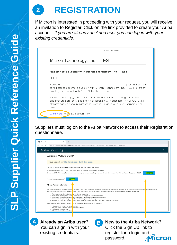

If Micron is interested in proceeding with your request, you will receive an invitation to Register. Click on the link provided to create your Ariba account*. If you are already an Ariba user you can log in with your existing credentials.*



Suppliers must log on to the Ariba Network to access their Registration questionnaire.



**A** Already an Ariba user? **B** You can sign in with your existing credentials.

**New to the Ariba Network?**  Click the Sign Up link to register for a login and **Micron** password.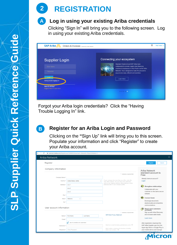**2 REGISTRATION**

#### **Log in using your existing Ariba credentials A**

Clicking "Sign In" will bring you to the following screen. Log in using your existing Ariba credentials.



Forgot your Ariba login credentials? Click the "Having Trouble Logging In" link.



#### **Register for an Ariba Login and Password**

Clicking on the **"**Sign Up" link will bring you to this screen. Populate your information and click "Register" to create your Ariba account.

| Ariba Network                |                                 |                                                                                                                                                                     |                                                                    |
|------------------------------|---------------------------------|---------------------------------------------------------------------------------------------------------------------------------------------------------------------|--------------------------------------------------------------------|
| Register                     |                                 |                                                                                                                                                                     | Register<br>Cancel                                                 |
| Company information          |                                 |                                                                                                                                                                     | Ariba Network                                                      |
|                              |                                 | * Indicates a required field                                                                                                                                        | standard account is<br>Free                                        |
| Company Name: *              |                                 |                                                                                                                                                                     | Already have an account?                                           |
|                              | Country:* United States [USA]   | If your company has more than one office, enter the<br>main office address. You can enter more addresses<br>such as your shipping address, billing address or other | Login                                                              |
| Address: <sup>*</sup> Line 1 |                                 | addresses later in your company profile.                                                                                                                            | <b>Strengthen relationships</b><br><b>A</b>                        |
|                              | Line 2                          |                                                                                                                                                                     | Collaborate with your                                              |
|                              | Line 3                          |                                                                                                                                                                     | customer on the same secure<br>network.                            |
| City: *                      |                                 |                                                                                                                                                                     |                                                                    |
| State: *                     | Alabama<br>$\checkmark$         |                                                                                                                                                                     | <b>Connect faster</b>                                              |
| Zip:*                        |                                 |                                                                                                                                                                     | Exchange documents<br>electronically and streamline                |
|                              |                                 |                                                                                                                                                                     | communications.                                                    |
| User account information     |                                 |                                                                                                                                                                     | m.<br>Reach more customers<br>worldwide                            |
|                              |                                 | * Indicates a required field                                                                                                                                        | Sign up with Ariba Discovery                                       |
|                              | Name: * First Name<br>Last Name | SAP Ariba Privacy Statement                                                                                                                                         | and increase sales leads.                                          |
| Email: *                     |                                 |                                                                                                                                                                     | Learn more                                                         |
|                              | Use my email as my username     |                                                                                                                                                                     | After registration download the                                    |
| Usemame:*                    |                                 | Must be in email format(e.g john@newco.com) (i)                                                                                                                     | SAP Ariba Supplier app from the                                    |
|                              | Password: * Enter Password      | Must contain a minimum 8 characters including<br>letters and numbers. (i)                                                                                           | Apple App Store or Google Play to<br>your mobile device and manage |
|                              |                                 |                                                                                                                                                                     |                                                                    |

Micron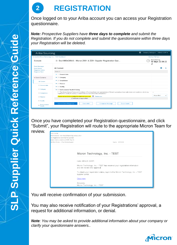

Once logged on to your Ariba account you can access your Registration questionnaire.

*Note: Prospective Suppliers have three days to complete and submit the Registration. If you do not complete and submit the questionnaire within three days your Registration will be deleted.*

| Ariba Sourcing                                        | 摄                                                                                                                                                                                                                                             | Company Settings v VENUS CORP v    |
|-------------------------------------------------------|-----------------------------------------------------------------------------------------------------------------------------------------------------------------------------------------------------------------------------------------------|------------------------------------|
| < Go back to Micron Technology, Inc. - TEST Dashboard |                                                                                                                                                                                                                                               | Desktop File Sync                  |
| Console                                               | 图 Doc1983429543 - Micron Z001 & ZZ01 Supplier Registration Que<br>ட                                                                                                                                                                           | Time remaining<br>19 days 22:39:22 |
| <b>Event Messages</b>                                 |                                                                                                                                                                                                                                               |                                    |
| <b>Event Details</b><br><b>Response History</b>       | All Content                                                                                                                                                                                                                                   | $\overline{1}$                     |
| <b>Response Team</b>                                  | Name 1                                                                                                                                                                                                                                        |                                    |
|                                                       | $\blacktriangleright$ 1 General data                                                                                                                                                                                                          |                                    |
| <b>Event Contents</b>                                 | $\blacktriangleright$ 2 Category                                                                                                                                                                                                              |                                    |
| All Content                                           | $\blacktriangleright$ 3 Compliance                                                                                                                                                                                                            |                                    |
|                                                       | $\blacktriangleright$ 4 Finance                                                                                                                                                                                                               |                                    |
| 1 General data                                        | $\blacktriangleright$ 5 Quality                                                                                                                                                                                                               |                                    |
| 2 Category                                            | Environmental Health & Safety<br>E                                                                                                                                                                                                            |                                    |
| 3 Compliance                                          | 7 "The Micron General Terms and Conditions of Purchase herein are representative of Micron's general purchase order terms and conditions, which vary<br>slightly from country to country in order to take account of local law and practice." | $\pi$                              |
| 4 Finance                                             | Please read and Acknowledge the attached document. E References                                                                                                                                                                               | Unspecified<br>$\checkmark$        |
|                                                       | (") indicates a required field                                                                                                                                                                                                                |                                    |
| 5 Quality                                             |                                                                                                                                                                                                                                               |                                    |
| Environmental<br>Health                               | Compose Message<br>Submit Entire Response<br>Save draft<br><b>Excel Import</b>                                                                                                                                                                |                                    |

Once you have completed your Registration questionnaire, and click "Submit", your Registration will route to the appropriate Micron Team for





You will receive confirmation of your submission.

You may also receive notification of your Registrations' approval, a request for additional information, or denial.

*Note: You may be asked to provide additional information about your company or clarify your questionnaire answers..*

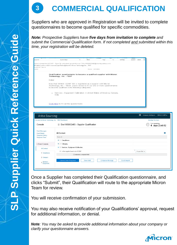

## **3 COMMERCIAL QUALIFICATION**

Suppliers who are approved in Registration will be invited to complete questionnaires to become qualified for specific commodities.

*Note: Prospective Suppliers have five days from invitation to complete and submit the Commercial Qualification form. If not completed and submitted within this time, your registration will be deleted.* 

| espond                                          | Quick Steps                                                                                                                                                                                                                                       | rs.                                      | Move              | Tags | $\overline{12}$        | Editing             | Speech Zoom              | Ab |                                            |  |
|-------------------------------------------------|---------------------------------------------------------------------------------------------------------------------------------------------------------------------------------------------------------------------------------------------------|------------------------------------------|-------------------|------|------------------------|---------------------|--------------------------|----|--------------------------------------------|--|
|                                                 |                                                                                                                                                                                                                                                   |                                          |                   |      |                        |                     |                          |    |                                            |  |
|                                                 | adrevu (wadrevu) [CONT - Type 2] <s4system-prod+micron-t.doc1983932483@ansmtp.ariba.com><br/>ilification questionnaire to become a qualified supplier with Micron Technology, Inc. - TEST</s4system-prod+micron-t.doc1983932483@ansmtp.ariba.com> |                                          |                   |      |                        |                     |                          |    |                                            |  |
| vu) [CONT - Type 2]<br>years)                   |                                                                                                                                                                                                                                                   |                                          | Expires 9/17/2021 |      |                        |                     |                          |    |                                            |  |
|                                                 |                                                                                                                                                                                                                                                   |                                          |                   |      |                        |                     |                          |    |                                            |  |
|                                                 | Qualification questionnaire to become a qualified supplier with Micron<br>Technology, Inc. - TEST                                                                                                                                                 |                                          |                   |      |                        |                     |                          |    |                                            |  |
|                                                 | Hello!                                                                                                                                                                                                                                            |                                          |                   |      |                        |                     |                          |    |                                            |  |
|                                                 | Now that VENUS CORP 123 is registered as a supplier with Micron<br>Technology, Inc. - TEST, you're invited to fill out one or more questionnaires<br>to become qualified in the following categories:                                             |                                          |                   |      |                        |                     |                          |    |                                            |  |
|                                                 | Services - Equipment Calibration in United States of America, Canada,<br>$\bullet$<br>India                                                                                                                                                       |                                          |                   |      |                        |                     |                          |    |                                            |  |
|                                                 |                                                                                                                                                                                                                                                   |                                          |                   |      |                        |                     |                          |    |                                            |  |
|                                                 | Click Here to fill out the questionnaire                                                                                                                                                                                                          |                                          |                   |      |                        |                     |                          |    |                                            |  |
|                                                 |                                                                                                                                                                                                                                                   |                                          |                   |      |                        |                     |                          |    | <b>III</b> Company Settings ▼ VENUS CORP ▼ |  |
| Ariba Sourcing                                  | < Go back to Micron Technology, Inc. - TEST Dashboard                                                                                                                                                                                             |                                          |                   |      |                        |                     |                          |    | Desktop File Sync                          |  |
|                                                 |                                                                                                                                                                                                                                                   |                                          |                   |      |                        |                     |                          |    | Tirne remaining                            |  |
| Console                                         |                                                                                                                                                                                                                                                   | 图 Doc1983932483 - Supplier Qualification |                   |      |                        |                     |                          |    | 4 days 23:49:52                            |  |
|                                                 |                                                                                                                                                                                                                                                   |                                          |                   |      |                        |                     |                          |    |                                            |  |
| <b>Event Messages</b><br><b>Event Details</b>   | All Content                                                                                                                                                                                                                                       |                                          |                   |      |                        |                     |                          |    |                                            |  |
| <b>Response History</b><br><b>Response Team</b> | Name 1                                                                                                                                                                                                                                            |                                          |                   |      |                        |                     |                          |    |                                            |  |
|                                                 | $\blacktriangleright$ 1 Compliance                                                                                                                                                                                                                |                                          |                   |      |                        |                     |                          |    |                                            |  |
| <b>Event Contents</b>                           | $\blacktriangleright$ 2 Category                                                                                                                                                                                                                  |                                          |                   |      |                        |                     |                          |    |                                            |  |
| All Content                                     | ▶ 3 Services - Equipment Calibration                                                                                                                                                                                                              |                                          |                   |      |                        |                     |                          |    |                                            |  |
| 1 Compliance                                    | 4 Is the supplier based out of USA?                                                                                                                                                                                                               |                                          |                   |      |                        |                     | Unspecified $\checkmark$ |    |                                            |  |
|                                                 |                                                                                                                                                                                                                                                   | (*) indicates a required field           |                   |      |                        |                     |                          |    |                                            |  |
| 2 Category                                      | Submit Entire Response                                                                                                                                                                                                                            |                                          | Save draft        |      | <b>Compose Message</b> | <b>Excel Import</b> |                          |    |                                            |  |

Once a Supplier has completed their Qualification questionnaire, and clicks "Submit", their Qualification will route to the appropriate Micron Team for review.

You will receive confirmation of your submission.

You may also receive notification of your Qualifications' approval, request for additional information, or denial.

*Note: You may be asked to provide additional information about your company or clarify your questionnaire answers.*